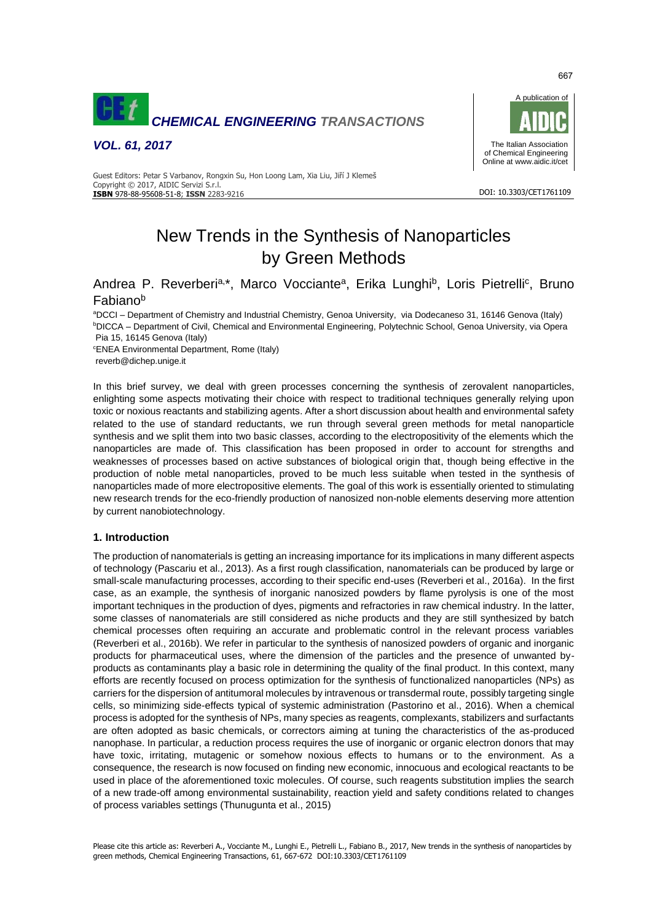

*VOL. 61, 2017*



DOI: 10.3303/CET1761109

Guest Editors: Petar S Varbanov, Rongxin Su, Hon Loong Lam, Xia Liu, Jiří J Klemeš Copyright © 2017, AIDIC Servizi S.r.l. **ISBN** 978-88-95608-51-8; **ISSN** 2283-9216

# New Trends in the Synthesis of Nanoparticles by Green Methods

Andrea P. Reverberi<sup>a,\*</sup>, Marco Vocciante<sup>a</sup>, Erika Lunghi<sup>b</sup>, Loris Pietrelli<sup>c</sup>, Bruno Fabiano<sup>b</sup>

aDCCI – Department of Chemistry and Industrial Chemistry, Genoa University, via Dodecaneso 31, 16146 Genova (Italy) **bDICCA – Department of Civil, Chemical and Environmental Engineering, Polytechnic School, Genoa University, via Opera** Pia 15, 16145 Genova (Italy)

<sup>c</sup>ENEA Environmental Department, Rome (Italy) reverb@dichep.unige.it

In this brief survey, we deal with green processes concerning the synthesis of zerovalent nanoparticles, enlighting some aspects motivating their choice with respect to traditional techniques generally relying upon toxic or noxious reactants and stabilizing agents. After a short discussion about health and environmental safety related to the use of standard reductants, we run through several green methods for metal nanoparticle synthesis and we split them into two basic classes, according to the electropositivity of the elements which the nanoparticles are made of. This classification has been proposed in order to account for strengths and weaknesses of processes based on active substances of biological origin that, though being effective in the production of noble metal nanoparticles, proved to be much less suitable when tested in the synthesis of nanoparticles made of more electropositive elements. The goal of this work is essentially oriented to stimulating new research trends for the eco-friendly production of nanosized non-noble elements deserving more attention by current nanobiotechnology.

# **1. Introduction**

The production of nanomaterials is getting an increasing importance for its implications in many different aspects of technology (Pascariu et al., 2013). As a first rough classification, nanomaterials can be produced by large or small-scale manufacturing processes, according to their specific end-uses (Reverberi et al., 2016a). In the first case, as an example, the synthesis of inorganic nanosized powders by flame pyrolysis is one of the most important techniques in the production of dyes, pigments and refractories in raw chemical industry. In the latter, some classes of nanomaterials are still considered as niche products and they are still synthesized by batch chemical processes often requiring an accurate and problematic control in the relevant process variables (Reverberi et al., 2016b). We refer in particular to the synthesis of nanosized powders of organic and inorganic products for pharmaceutical uses, where the dimension of the particles and the presence of unwanted byproducts as contaminants play a basic role in determining the quality of the final product. In this context, many efforts are recently focused on process optimization for the synthesis of functionalized nanoparticles (NPs) as carriers for the dispersion of antitumoral molecules by intravenous or transdermal route, possibly targeting single cells, so minimizing side-effects typical of systemic administration (Pastorino et al., 2016). When a chemical process is adopted for the synthesis of NPs, many species as reagents, complexants, stabilizers and surfactants are often adopted as basic chemicals, or correctors aiming at tuning the characteristics of the as-produced nanophase. In particular, a reduction process requires the use of inorganic or organic electron donors that may have toxic, irritating, mutagenic or somehow noxious effects to humans or to the environment. As a consequence, the research is now focused on finding new economic, innocuous and ecological reactants to be used in place of the aforementioned toxic molecules. Of course, such reagents substitution implies the search of a new trade-off among environmental sustainability, reaction yield and safety conditions related to changes of process variables settings (Thunugunta et al., 2015)

667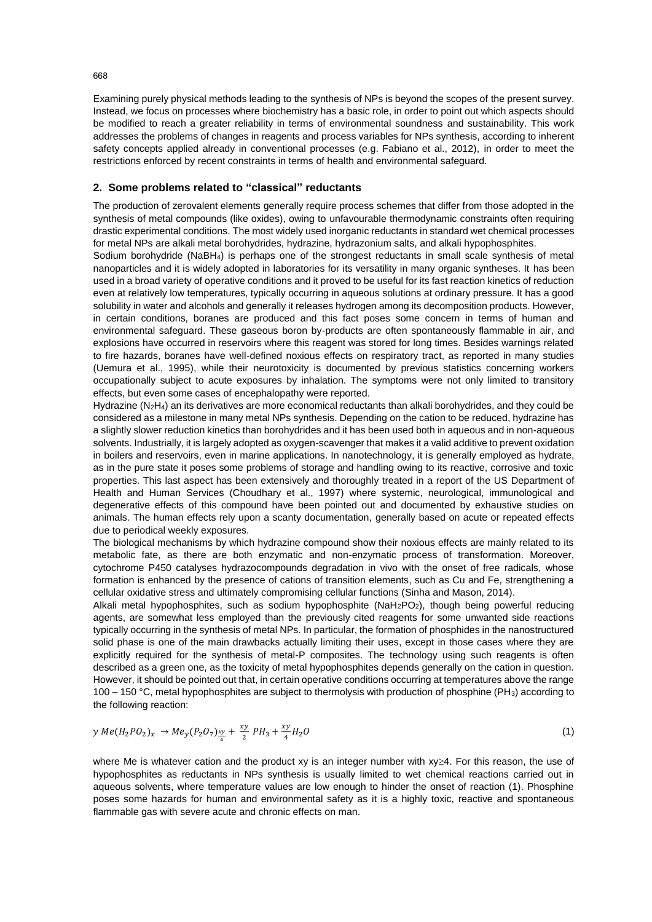Examining purely physical methods leading to the synthesis of NPs is beyond the scopes of the present survey. Instead, we focus on processes where biochemistry has a basic role, in order to point out which aspects should be modified to reach a greater reliability in terms of environmental soundness and sustainability. This work addresses the problems of changes in reagents and process variables for NPs synthesis, according to inherent safety concepts applied already in conventional processes (e.g. Fabiano et al., 2012), in order to meet the restrictions enforced by recent constraints in terms of health and environmental safeguard.

#### **2. Some problems related to "classical" reductants**

The production of zerovalent elements generally require process schemes that differ from those adopted in the synthesis of metal compounds (like oxides), owing to unfavourable thermodynamic constraints often requiring drastic experimental conditions. The most widely used inorganic reductants in standard wet chemical processes for metal NPs are alkali metal borohydrides, hydrazine, hydrazonium salts, and alkali hypophosphites.

Sodium borohydride (NaBH4) is perhaps one of the strongest reductants in small scale synthesis of metal nanoparticles and it is widely adopted in laboratories for its versatility in many organic syntheses. It has been used in a broad variety of operative conditions and it proved to be useful for its fast reaction kinetics of reduction even at relatively low temperatures, typically occurring in aqueous solutions at ordinary pressure. It has a good solubility in water and alcohols and generally it releases hydrogen among its decomposition products. However, in certain conditions, boranes are produced and this fact poses some concern in terms of human and environmental safeguard. These gaseous boron by-products are often spontaneously flammable in air, and explosions have occurred in reservoirs where this reagent was stored for long times. Besides warnings related to fire hazards, boranes have well-defined noxious effects on respiratory tract, as reported in many studies (Uemura et al., 1995), while their neurotoxicity is documented by previous statistics concerning workers occupationally subject to acute exposures by inhalation. The symptoms were not only limited to transitory effects, but even some cases of encephalopathy were reported.

Hydrazine (N<sub>2</sub>H<sub>4</sub>) an its derivatives are more economical reductants than alkali borohydrides, and they could be considered as a milestone in many metal NPs synthesis. Depending on the cation to be reduced, hydrazine has a slightly slower reduction kinetics than borohydrides and it has been used both in aqueous and in non-aqueous solvents. Industrially, it is largely adopted as oxygen-scavenger that makes it a valid additive to prevent oxidation in boilers and reservoirs, even in marine applications. In nanotechnology, it is generally employed as hydrate, as in the pure state it poses some problems of storage and handling owing to its reactive, corrosive and toxic properties. This last aspect has been extensively and thoroughly treated in a report of the US Department of Health and Human Services (Choudhary et al., 1997) where systemic, neurological, immunological and degenerative effects of this compound have been pointed out and documented by exhaustive studies on animals. The human effects rely upon a scanty documentation, generally based on acute or repeated effects due to periodical weekly exposures.

The biological mechanisms by which hydrazine compound show their noxious effects are mainly related to its metabolic fate, as there are both enzymatic and non-enzymatic process of transformation. Moreover, cytochrome P450 catalyses hydrazocompounds degradation in vivo with the onset of free radicals, whose formation is enhanced by the presence of cations of transition elements, such as Cu and Fe, strengthening a cellular oxidative stress and ultimately compromising cellular functions (Sinha and Mason, 2014).

Alkali metal hypophosphites, such as sodium hypophosphite ( $Nah_2PO_2$ ), though being powerful reducing agents, are somewhat less employed than the previously cited reagents for some unwanted side reactions typically occurring in the synthesis of metal NPs. In particular, the formation of phosphides in the nanostructured solid phase is one of the main drawbacks actually limiting their uses, except in those cases where they are explicitly required for the synthesis of metal-P composites. The technology using such reagents is often described as a green one, as the toxicity of metal hypophosphites depends generally on the cation in question. However, it should be pointed out that, in certain operative conditions occurring at temperatures above the range 100 – 150 °C, metal hypophosphites are subject to thermolysis with production of phosphine (PH3) according to the following reaction:

$$
y \, Me(H_2PO_2)_x \to Me_y(P_2O_7) \frac{xy}{4} + \frac{xy}{2} \, PH_3 + \frac{xy}{4} H_2O \tag{1}
$$

where Me is whatever cation and the product xy is an integer number with  $xy \geq 4$ . For this reason, the use of hypophosphites as reductants in NPs synthesis is usually limited to wet chemical reactions carried out in aqueous solvents, where temperature values are low enough to hinder the onset of reaction (1). Phosphine poses some hazards for human and environmental safety as it is a highly toxic, reactive and spontaneous flammable gas with severe acute and chronic effects on man.

668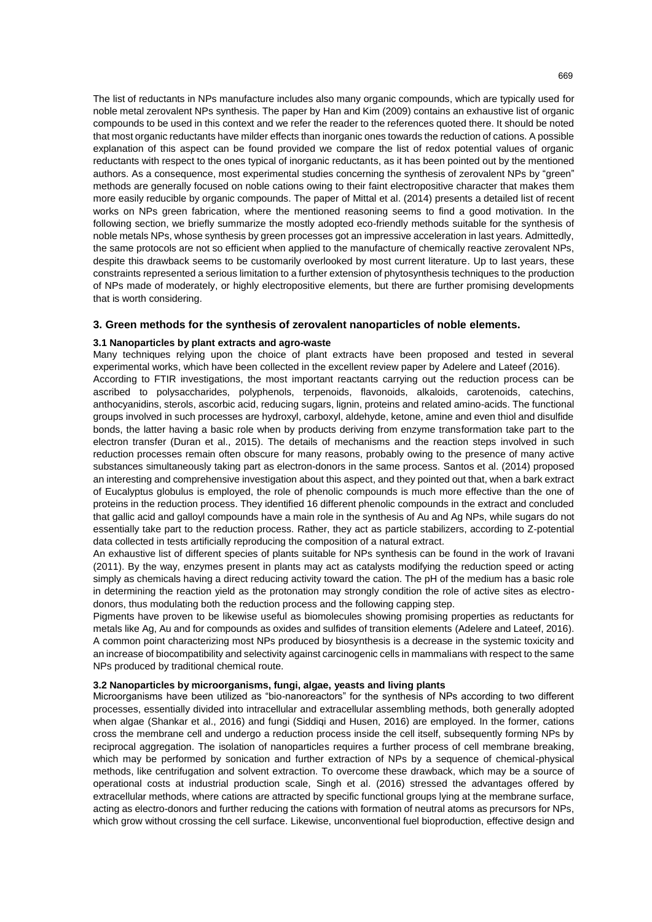The list of reductants in NPs manufacture includes also many organic compounds, which are typically used for noble metal zerovalent NPs synthesis. The paper by Han and Kim (2009) contains an exhaustive list of organic compounds to be used in this context and we refer the reader to the references quoted there. It should be noted that most organic reductants have milder effects than inorganic ones towards the reduction of cations. A possible explanation of this aspect can be found provided we compare the list of redox potential values of organic reductants with respect to the ones typical of inorganic reductants, as it has been pointed out by the mentioned authors. As a consequence, most experimental studies concerning the synthesis of zerovalent NPs by "green" methods are generally focused on noble cations owing to their faint electropositive character that makes them more easily reducible by organic compounds. The paper of Mittal et al. (2014) presents a detailed list of recent works on NPs green fabrication, where the mentioned reasoning seems to find a good motivation. In the following section, we briefly summarize the mostly adopted eco-friendly methods suitable for the synthesis of noble metals NPs, whose synthesis by green processes got an impressive acceleration in last years. Admittedly, the same protocols are not so efficient when applied to the manufacture of chemically reactive zerovalent NPs, despite this drawback seems to be customarily overlooked by most current literature. Up to last years, these constraints represented a serious limitation to a further extension of phytosynthesis techniques to the production of NPs made of moderately, or highly electropositive elements, but there are further promising developments that is worth considering.

## **3. Green methods for the synthesis of zerovalent nanoparticles of noble elements.**

## **3.1 Nanoparticles by plant extracts and agro-waste**

Many techniques relying upon the choice of plant extracts have been proposed and tested in several experimental works, which have been collected in the excellent review paper by Adelere and Lateef (2016). According to FTIR investigations, the most important reactants carrying out the reduction process can be ascribed to polysaccharides, polyphenols, terpenoids, flavonoids, alkaloids, carotenoids, catechins, anthocyanidins, sterols, ascorbic acid, reducing sugars, lignin, proteins and related amino-acids. The functional groups involved in such processes are hydroxyl, carboxyl, aldehyde, ketone, amine and even thiol and disulfide bonds, the latter having a basic role when by products deriving from enzyme transformation take part to the electron transfer (Duran et al., 2015). The details of mechanisms and the reaction steps involved in such reduction processes remain often obscure for many reasons, probably owing to the presence of many active substances simultaneously taking part as electron-donors in the same process. Santos et al. (2014) proposed an interesting and comprehensive investigation about this aspect, and they pointed out that, when a bark extract of Eucalyptus globulus is employed, the role of phenolic compounds is much more effective than the one of proteins in the reduction process. They identified 16 different phenolic compounds in the extract and concluded that gallic acid and galloyl compounds have a main role in the synthesis of Au and Ag NPs, while sugars do not essentially take part to the reduction process. Rather, they act as particle stabilizers, according to Z-potential data collected in tests artificially reproducing the composition of a natural extract.

An exhaustive list of different species of plants suitable for NPs synthesis can be found in the work of Iravani (2011). By the way, enzymes present in plants may act as catalysts modifying the reduction speed or acting simply as chemicals having a direct reducing activity toward the cation. The pH of the medium has a basic role in determining the reaction yield as the protonation may strongly condition the role of active sites as electrodonors, thus modulating both the reduction process and the following capping step.

Pigments have proven to be likewise useful as biomolecules showing promising properties as reductants for metals like Ag, Au and for compounds as oxides and sulfides of transition elements (Adelere and Lateef, 2016). A common point characterizing most NPs produced by biosynthesis is a decrease in the systemic toxicity and an increase of biocompatibility and selectivity against carcinogenic cells in mammalians with respect to the same NPs produced by traditional chemical route.

#### **3.2 Nanoparticles by microorganisms, fungi, algae, yeasts and living plants**

Microorganisms have been utilized as "bio-nanoreactors" for the synthesis of NPs according to two different processes, essentially divided into intracellular and extracellular assembling methods, both generally adopted when algae (Shankar et al., 2016) and fungi (Siddiqi and Husen, 2016) are employed. In the former, cations cross the membrane cell and undergo a reduction process inside the cell itself, subsequently forming NPs by reciprocal aggregation. The isolation of nanoparticles requires a further process of cell membrane breaking, which may be performed by sonication and further extraction of NPs by a sequence of chemical-physical methods, like centrifugation and solvent extraction. To overcome these drawback, which may be a source of operational costs at industrial production scale, Singh et al. (2016) stressed the advantages offered by extracellular methods, where cations are attracted by specific functional groups lying at the membrane surface, acting as electro-donors and further reducing the cations with formation of neutral atoms as precursors for NPs, which grow without crossing the cell surface. Likewise, unconventional fuel bioproduction, effective design and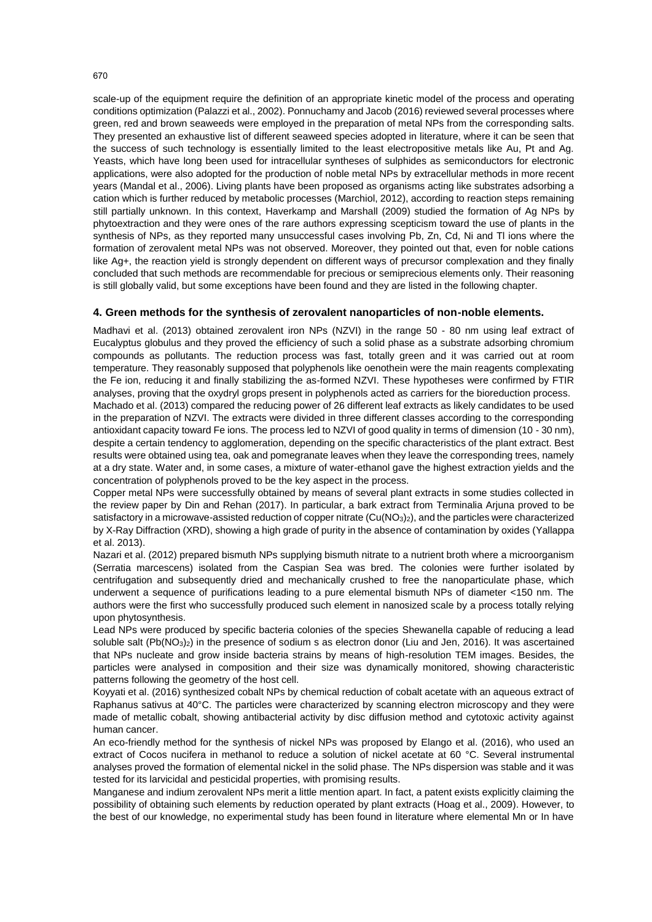scale-up of the equipment require the definition of an appropriate kinetic model of the process and operating conditions optimization (Palazzi et al., 2002). Ponnuchamy and Jacob (2016) reviewed several processes where green, red and brown seaweeds were employed in the preparation of metal NPs from the corresponding salts. They presented an exhaustive list of different seaweed species adopted in literature, where it can be seen that the success of such technology is essentially limited to the least electropositive metals like Au, Pt and Ag. Yeasts, which have long been used for intracellular syntheses of sulphides as semiconductors for electronic applications, were also adopted for the production of noble metal NPs by extracellular methods in more recent years (Mandal et al., 2006). Living plants have been proposed as organisms acting like substrates adsorbing a cation which is further reduced by metabolic processes (Marchiol, 2012), according to reaction steps remaining still partially unknown. In this context, Haverkamp and Marshall (2009) studied the formation of Ag NPs by phytoextraction and they were ones of the rare authors expressing scepticism toward the use of plants in the synthesis of NPs, as they reported many unsuccessful cases involving Pb, Zn, Cd, Ni and Tl ions where the formation of zerovalent metal NPs was not observed. Moreover, they pointed out that, even for noble cations like Ag+, the reaction yield is strongly dependent on different ways of precursor complexation and they finally concluded that such methods are recommendable for precious or semiprecious elements only. Their reasoning is still globally valid, but some exceptions have been found and they are listed in the following chapter.

#### **4. Green methods for the synthesis of zerovalent nanoparticles of non-noble elements.**

Madhavi et al. (2013) obtained zerovalent iron NPs (NZVI) in the range 50 - 80 nm using leaf extract of Eucalyptus globulus and they proved the efficiency of such a solid phase as a substrate adsorbing chromium compounds as pollutants. The reduction process was fast, totally green and it was carried out at room temperature. They reasonably supposed that polyphenols like oenothein were the main reagents complexating the Fe ion, reducing it and finally stabilizing the as-formed NZVI. These hypotheses were confirmed by FTIR analyses, proving that the oxydryl grops present in polyphenols acted as carriers for the bioreduction process. Machado et al. (2013) compared the reducing power of 26 different leaf extracts as likely candidates to be used in the preparation of NZVI. The extracts were divided in three different classes according to the corresponding antioxidant capacity toward Fe ions. The process led to NZVI of good quality in terms of dimension (10 - 30 nm), despite a certain tendency to agglomeration, depending on the specific characteristics of the plant extract. Best results were obtained using tea, oak and pomegranate leaves when they leave the corresponding trees, namely at a dry state. Water and, in some cases, a mixture of water-ethanol gave the highest extraction yields and the concentration of polyphenols proved to be the key aspect in the process.

Copper metal NPs were successfully obtained by means of several plant extracts in some studies collected in the review paper by Din and Rehan (2017). In particular, a bark extract from Terminalia Arjuna proved to be satisfactory in a microwave-assisted reduction of copper nitrate  $(Cu(NO<sub>3</sub>)<sub>2</sub>)$ , and the particles were characterized by X-Ray Diffraction (XRD), showing a high grade of purity in the absence of contamination by oxides (Yallappa et al. 2013).

Nazari et al. (2012) prepared bismuth NPs supplying bismuth nitrate to a nutrient broth where a microorganism (Serratia marcescens) isolated from the Caspian Sea was bred. The colonies were further isolated by centrifugation and subsequently dried and mechanically crushed to free the nanoparticulate phase, which underwent a sequence of purifications leading to a pure elemental bismuth NPs of diameter <150 nm. The authors were the first who successfully produced such element in nanosized scale by a process totally relying upon phytosynthesis.

Lead NPs were produced by specific bacteria colonies of the species Shewanella capable of reducing a lead soluble salt (Pb(NO<sub>3</sub>)<sub>2</sub>) in the presence of sodium s as electron donor (Liu and Jen, 2016). It was ascertained that NPs nucleate and grow inside bacteria strains by means of high-resolution TEM images. Besides, the particles were analysed in composition and their size was dynamically monitored, showing characteristic patterns following the geometry of the host cell.

Koyyati et al. (2016) synthesized cobalt NPs by chemical reduction of cobalt acetate with an aqueous extract of Raphanus sativus at 40°C. The particles were characterized by scanning electron microscopy and they were made of metallic cobalt, showing antibacterial activity by disc diffusion method and cytotoxic activity against human cancer.

An eco-friendly method for the synthesis of nickel NPs was proposed by Elango et al. (2016), who used an extract of Cocos nucifera in methanol to reduce a solution of nickel acetate at 60 °C. Several instrumental analyses proved the formation of elemental nickel in the solid phase. The NPs dispersion was stable and it was tested for its larvicidal and pesticidal properties, with promising results.

Manganese and indium zerovalent NPs merit a little mention apart. In fact, a patent exists explicitly claiming the possibility of obtaining such elements by reduction operated by plant extracts (Hoag et al., 2009). However, to the best of our knowledge, no experimental study has been found in literature where elemental Mn or In have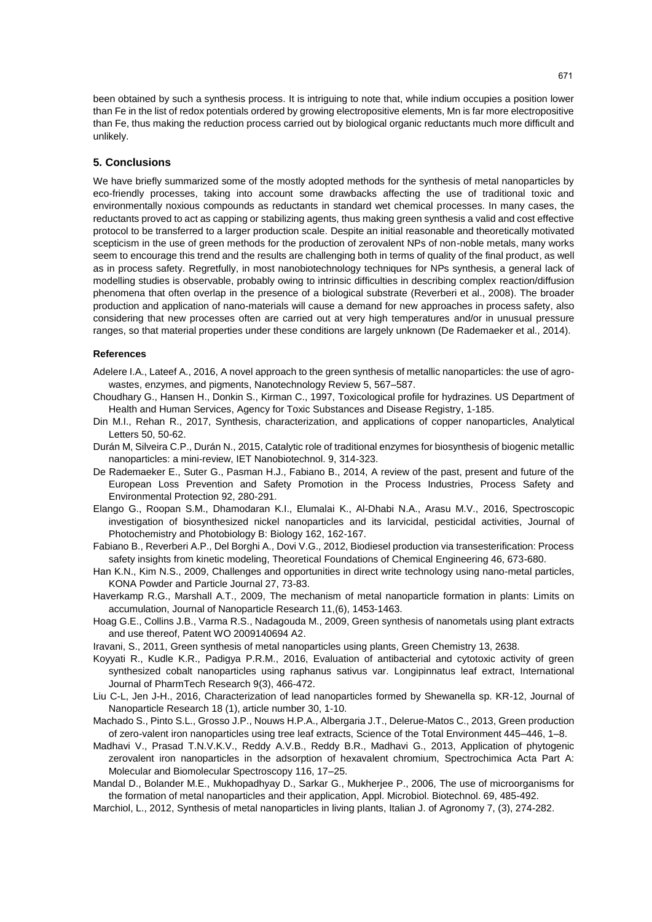been obtained by such a synthesis process. It is intriguing to note that, while indium occupies a position lower than Fe in the list of redox potentials ordered by growing electropositive elements, Mn is far more electropositive than Fe, thus making the reduction process carried out by biological organic reductants much more difficult and unlikely.

## **5. Conclusions**

We have briefly summarized some of the mostly adopted methods for the synthesis of metal nanoparticles by eco-friendly processes, taking into account some drawbacks affecting the use of traditional toxic and environmentally noxious compounds as reductants in standard wet chemical processes. In many cases, the reductants proved to act as capping or stabilizing agents, thus making green synthesis a valid and cost effective protocol to be transferred to a larger production scale. Despite an initial reasonable and theoretically motivated scepticism in the use of green methods for the production of zerovalent NPs of non-noble metals, many works seem to encourage this trend and the results are challenging both in terms of quality of the final product, as well as in process safety. Regretfully, in most nanobiotechnology techniques for NPs synthesis, a general lack of modelling studies is observable, probably owing to intrinsic difficulties in describing complex reaction/diffusion phenomena that often overlap in the presence of a biological substrate (Reverberi et al., 2008). The broader production and application of nano-materials will cause a demand for new approaches in process safety, also considering that new processes often are carried out at very high temperatures and/or in unusual pressure ranges, so that material properties under these conditions are largely unknown (De Rademaeker et al., 2014).

#### **References**

- Adelere I.A., Lateef A., 2016, A novel approach to the green synthesis of metallic nanoparticles: the use of agrowastes, enzymes, and pigments, Nanotechnology Review 5, 567–587.
- Choudhary G., Hansen H., Donkin S., Kirman C., 1997, Toxicological profile for hydrazines. US Department of Health and Human Services, Agency for Toxic Substances and Disease Registry, 1-185.
- Din M.I., Rehan R., 2017, Synthesis, characterization, and applications of copper nanoparticles, Analytical Letters 50, 50-62.
- Durán M, Silveira C.P., Durán N., 2015, Catalytic role of traditional enzymes for biosynthesis of biogenic metallic nanoparticles: a mini-review, IET Nanobiotechnol. 9, 314-323.
- De Rademaeker E., Suter G., Pasman H.J., Fabiano B., 2014, A review of the past, present and future of the European Loss Prevention and Safety Promotion in the Process Industries, Process Safety and Environmental Protection 92, 280-291.
- Elango G., Roopan S.M., Dhamodaran K.I., Elumalai K., Al-Dhabi N.A., Arasu M.V., 2016, Spectroscopic investigation of biosynthesized nickel nanoparticles and its larvicidal, pesticidal activities, Journal of Photochemistry and Photobiology B: Biology 162, 162-167.
- Fabiano B., Reverberi A.P., Del Borghi A., Dovi V.G., 2012, Biodiesel production via transesterification: Process safety insights from kinetic modeling, Theoretical Foundations of Chemical Engineering 46, 673-680.
- Han K.N., Kim N.S., 2009, Challenges and opportunities in direct write technology using nano-metal particles, KONA Powder and Particle Journal 27, 73-83.
- Haverkamp R.G., Marshall A.T., 2009, The mechanism of metal nanoparticle formation in plants: Limits on accumulation, Journal of Nanoparticle Research 11,(6), 1453-1463.
- Hoag G.E., Collins J.B., Varma R.S., Nadagouda M., 2009, Green synthesis of nanometals using plant extracts and use thereof, Patent WO 2009140694 A2.
- Iravani, S., 2011, Green synthesis of metal nanoparticles using plants, Green Chemistry 13, 2638.
- Koyyati R., Kudle K.R., Padigya P.R.M., 2016, Evaluation of antibacterial and cytotoxic activity of green synthesized cobalt nanoparticles using raphanus sativus var. Longipinnatus leaf extract, International Journal of PharmTech Research 9(3), 466-472.
- Liu C-L, Jen J-H., 2016, Characterization of lead nanoparticles formed by Shewanella sp. KR-12, Journal of Nanoparticle Research 18 (1), article number 30, 1-10.
- Machado S., Pinto S.L., Grosso J.P., Nouws H.P.A., Albergaria J.T., Delerue-Matos C., 2013, Green production of zero-valent iron nanoparticles using tree leaf extracts, Science of the Total Environment 445–446, 1–8.
- Madhavi V., Prasad T.N.V.K.V., Reddy A.V.B., Reddy B.R., Madhavi G., 2013, Application of phytogenic zerovalent iron nanoparticles in the adsorption of hexavalent chromium, Spectrochimica Acta Part A: Molecular and Biomolecular Spectroscopy 116, 17–25.
- Mandal D., Bolander M.E., Mukhopadhyay D., Sarkar G., Mukherjee P., 2006, The use of microorganisms for the formation of metal nanoparticles and their application, Appl. Microbiol. Biotechnol. 69, 485-492.
- Marchiol, L., 2012, Synthesis of metal nanoparticles in living plants, Italian J. of Agronomy 7, (3), 274-282.